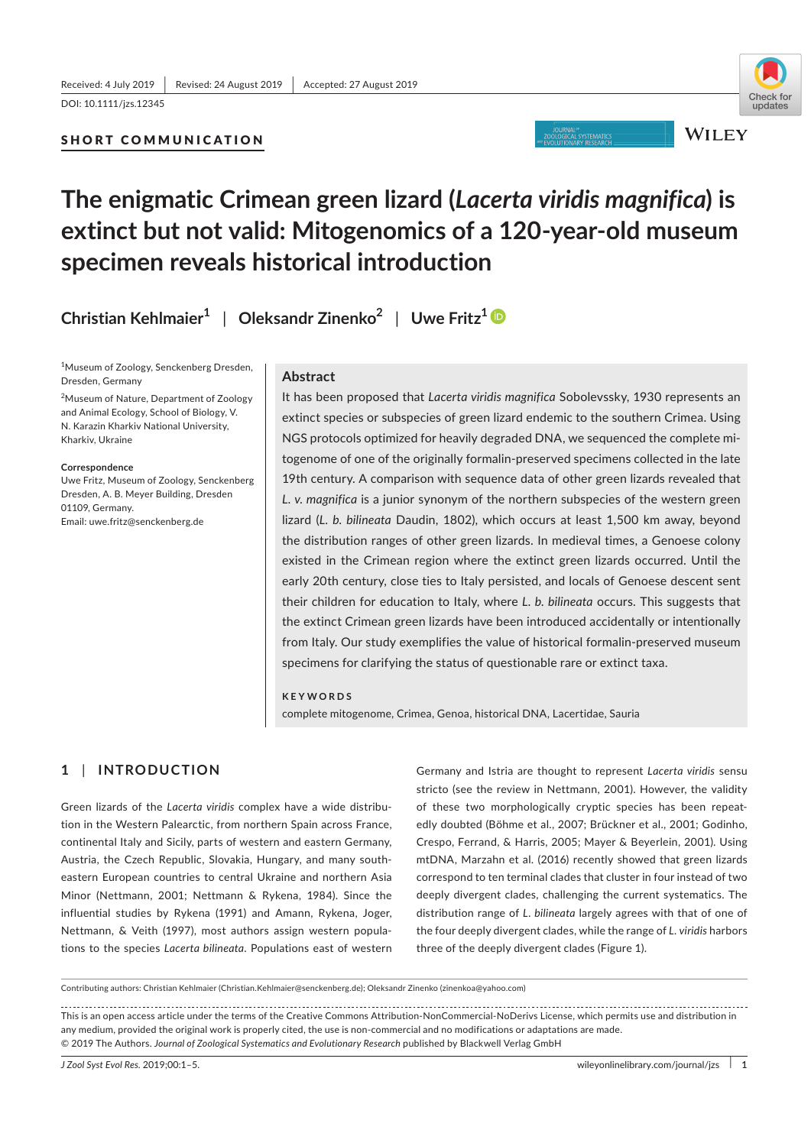### SHORT COMMUNICATION



# **The enigmatic Crimean green lizard (***Lacerta viridis magnifica***) is extinct but not valid: Mitogenomics of a 120‐year‐old museum specimen reveals historical introduction**

**Christian Kehlmaier<sup>1</sup>** | **Oleksandr Zinenko2** | **Uwe Fritz<sup>1</sup>**

<sup>1</sup>Museum of Zoology, Senckenberg Dresden, Dresden, Germany

<sup>2</sup>Museum of Nature, Department of Zoology and Animal Ecology, School of Biology, V. N. Karazin Kharkiv National University, Kharkiv, Ukraine

**Correspondence**

Uwe Fritz, Museum of Zoology, Senckenberg Dresden, A. B. Meyer Building, Dresden 01109, Germany. Email: uwe.fritz@senckenberg.de

### **Abstract**

It has been proposed that *Lacerta viridis magnifica* Sobolevssky, 1930 represents an extinct species or subspecies of green lizard endemic to the southern Crimea. Using NGS protocols optimized for heavily degraded DNA, we sequenced the complete mitogenome of one of the originally formalin-preserved specimens collected in the late 19th century. A comparison with sequence data of other green lizards revealed that *L. v. magnifica* is a junior synonym of the northern subspecies of the western green lizard (*L. b. bilineata* Daudin, 1802), which occurs at least 1,500 km away, beyond the distribution ranges of other green lizards. In medieval times, a Genoese colony existed in the Crimean region where the extinct green lizards occurred. Until the early 20th century, close ties to Italy persisted, and locals of Genoese descent sent their children for education to Italy, where *L. b. bilineata* occurs. This suggests that the extinct Crimean green lizards have been introduced accidentally or intentionally from Italy. Our study exemplifies the value of historical formalin-preserved museum specimens for clarifying the status of questionable rare or extinct taxa.

**KEYWORDS** complete mitogenome, Crimea, Genoa, historical DNA, Lacertidae, Sauria

## **1** | **INTRODUCTION**

Green lizards of the *Lacerta viridis* complex have a wide distribution in the Western Palearctic, from northern Spain across France, continental Italy and Sicily, parts of western and eastern Germany, Austria, the Czech Republic, Slovakia, Hungary, and many southeastern European countries to central Ukraine and northern Asia Minor (Nettmann, 2001; Nettmann & Rykena, 1984). Since the influential studies by Rykena (1991) and Amann, Rykena, Joger, Nettmann, & Veith (1997), most authors assign western populations to the species *Lacerta bilineata*. Populations east of western

Germany and Istria are thought to represent *Lacerta viridis* sensu stricto (see the review in Nettmann, 2001). However, the validity of these two morphologically cryptic species has been repeatedly doubted (Böhme et al., 2007; Brückner et al., 2001; Godinho, Crespo, Ferrand, & Harris, 2005; Mayer & Beyerlein, 2001). Using mtDNA, Marzahn et al. (2016) recently showed that green lizards correspond to ten terminal clades that cluster in four instead of two deeply divergent clades, challenging the current systematics. The distribution range of *L. bilineata* largely agrees with that of one of the four deeply divergent clades, while the range of *L. viridis* harbors three of the deeply divergent clades (Figure 1).

Contributing authors: Christian Kehlmaier (Christian.Kehlmaier@senckenberg.de); Oleksandr Zinenko (zinenkoa@yahoo.com)

This is an open access article under the terms of the Creative Commons Attribution-NonCommercial-NoDerivs License, which permits use and distribution in any medium, provided the original work is properly cited, the use is non-commercial and no modifications or adaptations are made. © 2019 The Authors. *Journal of Zoological Systematics and Evolutionary Research* published by Blackwell Verlag GmbH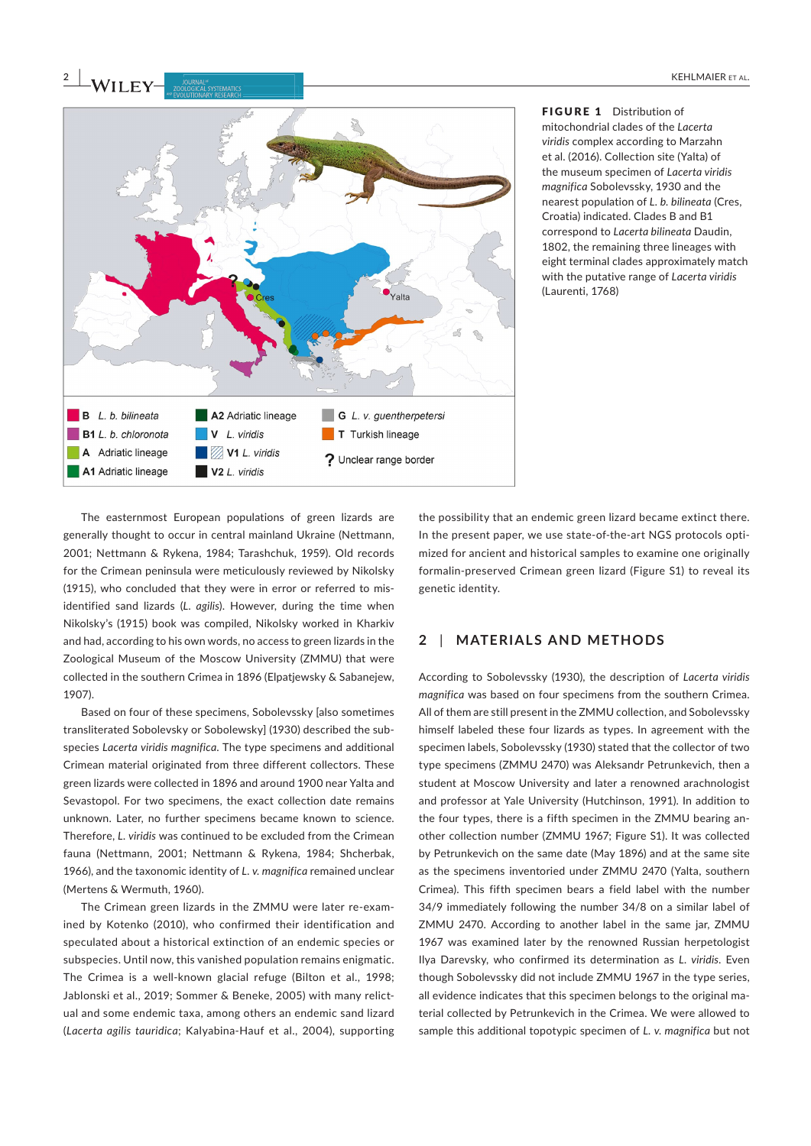

FIGURE 1 Distribution of mitochondrial clades of the *Lacerta viridis* complex according to Marzahn et al. (2016). Collection site (Yalta) of the museum specimen of *Lacerta viridis magnifica* Sobolevssky, 1930 and the nearest population of *L. b. bilineata* (Cres, Croatia) indicated. Clades B and B1 correspond to *Lacerta bilineata* Daudin, 1802, the remaining three lineages with eight terminal clades approximately match with the putative range of *Lacerta viridis* (Laurenti, 1768)

The easternmost European populations of green lizards are generally thought to occur in central mainland Ukraine (Nettmann, 2001; Nettmann & Rykena, 1984; Tarashchuk, 1959). Old records for the Crimean peninsula were meticulously reviewed by Nikolsky (1915), who concluded that they were in error or referred to misidentified sand lizards (*L. agilis*). However, during the time when Nikolsky's (1915) book was compiled, Nikolsky worked in Kharkiv and had, according to his own words, no access to green lizards in the Zoological Museum of the Moscow University (ZMMU) that were collected in the southern Crimea in 1896 (Elpatjewsky & Sabanejew, 1907).

Based on four of these specimens, Sobolevssky [also sometimes transliterated Sobolevsky or Sobolewsky] (1930) described the subspecies *Lacerta viridis magnifica*. The type specimens and additional Crimean material originated from three different collectors. These green lizards were collected in 1896 and around 1900 near Yalta and Sevastopol. For two specimens, the exact collection date remains unknown. Later, no further specimens became known to science. Therefore, *L. viridis* was continued to be excluded from the Crimean fauna (Nettmann, 2001; Nettmann & Rykena, 1984; Shcherbak, 1966), and the taxonomic identity of *L. v. magnifica* remained unclear (Mertens & Wermuth, 1960).

The Crimean green lizards in the ZMMU were later re-examined by Kotenko (2010), who confirmed their identification and speculated about a historical extinction of an endemic species or subspecies. Until now, this vanished population remains enigmatic. The Crimea is a well-known glacial refuge (Bilton et al., 1998; Jablonski et al., 2019; Sommer & Beneke, 2005) with many relictual and some endemic taxa, among others an endemic sand lizard (*Lacerta agilis tauridica*; Kalyabina-Hauf et al., 2004), supporting the possibility that an endemic green lizard became extinct there. In the present paper, we use state-of-the-art NGS protocols optimized for ancient and historical samples to examine one originally formalin-preserved Crimean green lizard (Figure S1) to reveal its genetic identity.

### **2** | **MATERIALS AND METHODS**

According to Sobolevssky (1930), the description of *Lacerta viridis magnifica* was based on four specimens from the southern Crimea. All of them are still present in the ZMMU collection, and Sobolevssky himself labeled these four lizards as types. In agreement with the specimen labels, Sobolevssky (1930) stated that the collector of two type specimens (ZMMU 2470) was Aleksandr Petrunkevich, then a student at Moscow University and later a renowned arachnologist and professor at Yale University (Hutchinson, 1991). In addition to the four types, there is a fifth specimen in the ZMMU bearing another collection number (ZMMU 1967; Figure S1). It was collected by Petrunkevich on the same date (May 1896) and at the same site as the specimens inventoried under ZMMU 2470 (Yalta, southern Crimea). This fifth specimen bears a field label with the number 34/9 immediately following the number 34/8 on a similar label of ZMMU 2470. According to another label in the same jar, ZMMU 1967 was examined later by the renowned Russian herpetologist Ilya Darevsky, who confirmed its determination as *L. viridis*. Even though Sobolevssky did not include ZMMU 1967 in the type series, all evidence indicates that this specimen belongs to the original material collected by Petrunkevich in the Crimea. We were allowed to sample this additional topotypic specimen of *L. v. magnifica* but not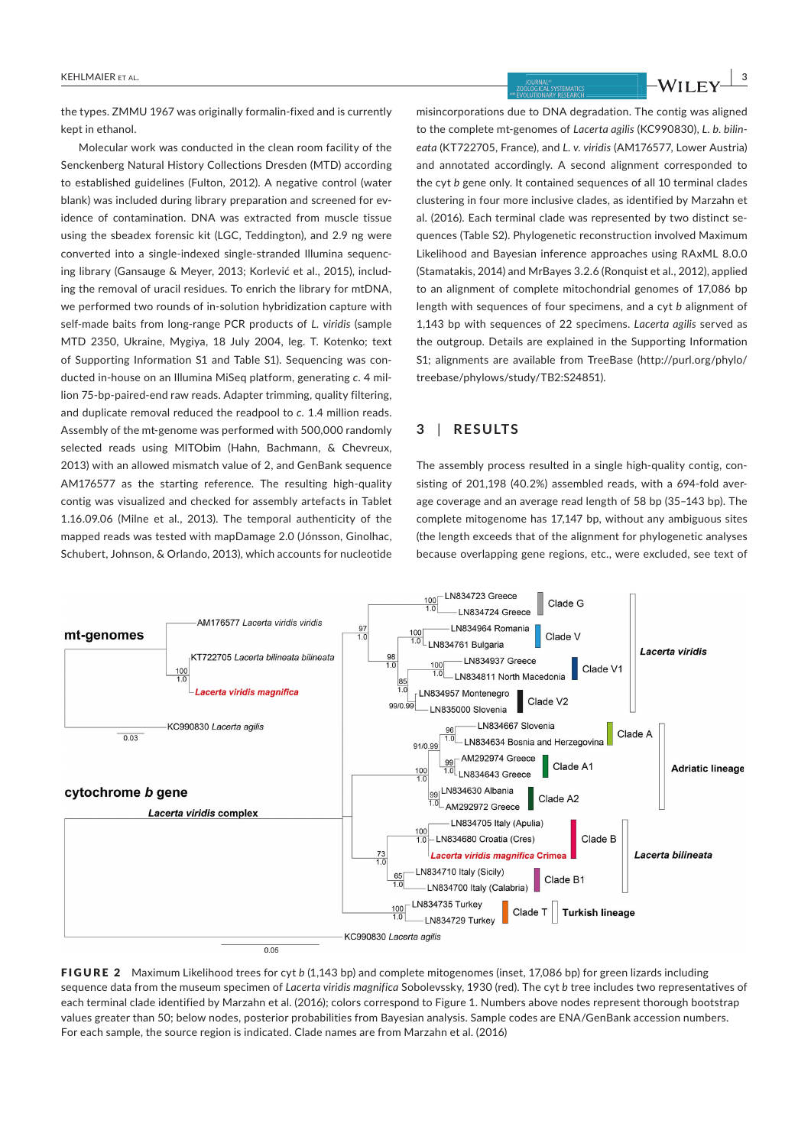the types. ZMMU 1967 was originally formalin-fixed and is currently kept in ethanol.

Molecular work was conducted in the clean room facility of the Senckenberg Natural History Collections Dresden (MTD) according to established guidelines (Fulton, 2012). A negative control (water blank) was included during library preparation and screened for evidence of contamination. DNA was extracted from muscle tissue using the sbeadex forensic kit (LGC, Teddington), and 2.9 ng were converted into a single-indexed single-stranded Illumina sequencing library (Gansauge & Meyer, 2013; Korlević et al., 2015), including the removal of uracil residues. To enrich the library for mtDNA, we performed two rounds of in-solution hybridization capture with self-made baits from long-range PCR products of *L. viridis* (sample MTD 2350, Ukraine, Mygiya, 18 July 2004, leg. T. Kotenko; text of Supporting Information S1 and Table S1). Sequencing was conducted in-house on an Illumina MiSeq platform, generating *c.* 4 million 75-bp-paired-end raw reads. Adapter trimming, quality filtering, and duplicate removal reduced the readpool to *c.* 1.4 million reads. Assembly of the mt-genome was performed with 500,000 randomly selected reads using MITObim (Hahn, Bachmann, & Chevreux, 2013) with an allowed mismatch value of 2, and GenBank sequence AM176577 as the starting reference. The resulting high-quality contig was visualized and checked for assembly artefacts in Tablet 1.16.09.06 (Milne et al., 2013). The temporal authenticity of the mapped reads was tested with mapDamage 2.0 (Jónsson, Ginolhac, Schubert, Johnson, & Orlando, 2013), which accounts for nucleotide

misincorporations due to DNA degradation. The contig was aligned to the complete mt-genomes of *Lacerta agilis* (KC990830), *L. b. bilineata* (KT722705, France), and *L. v. viridis* (AM176577, Lower Austria) and annotated accordingly. A second alignment corresponded to the cyt *b* gene only. It contained sequences of all 10 terminal clades clustering in four more inclusive clades, as identified by Marzahn et al. (2016). Each terminal clade was represented by two distinct sequences (Table S2). Phylogenetic reconstruction involved Maximum Likelihood and Bayesian inference approaches using RAxML 8.0.0 (Stamatakis, 2014) and MrBayes 3.2.6 (Ronquist et al., 2012), applied to an alignment of complete mitochondrial genomes of 17,086 bp length with sequences of four specimens, and a cyt *b* alignment of 1,143 bp with sequences of 22 specimens. *Lacerta agilis* served as the outgroup. Details are explained in the Supporting Information S1; alignments are available from TreeBase (http://purl.org/phylo/ treebase/phylows/study/TB2:S24851).

### **3** | **RESULTS**

The assembly process resulted in a single high-quality contig, consisting of 201,198 (40.2%) assembled reads, with a 694-fold average coverage and an average read length of 58 bp (35–143 bp). The complete mitogenome has 17,147 bp, without any ambiguous sites (the length exceeds that of the alignment for phylogenetic analyses because overlapping gene regions, etc., were excluded, see text of



FIGURE 2 Maximum Likelihood trees for cyt *b* (1,143 bp) and complete mitogenomes (inset, 17,086 bp) for green lizards including sequence data from the museum specimen of *Lacerta viridis magnifica* Sobolevssky, 1930 (red). The cyt *b* tree includes two representatives of each terminal clade identified by Marzahn et al. (2016); colors correspond to Figure 1. Numbers above nodes represent thorough bootstrap values greater than 50; below nodes, posterior probabilities from Bayesian analysis. Sample codes are ENA/GenBank accession numbers. For each sample, the source region is indicated. Clade names are from Marzahn et al. (2016)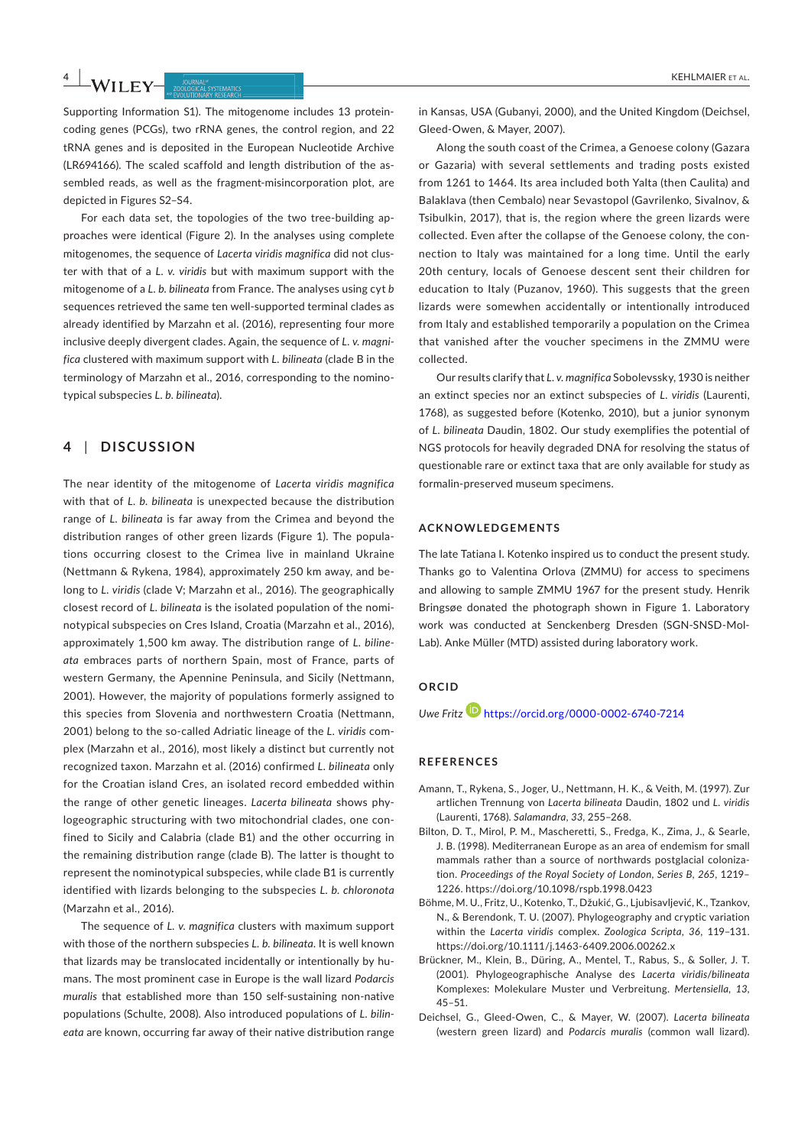# **4 |**  KEHLMAIER Et AL.

Supporting Information S1). The mitogenome includes 13 proteincoding genes (PCGs), two rRNA genes, the control region, and 22 tRNA genes and is deposited in the European Nucleotide Archive (LR694166). The scaled scaffold and length distribution of the assembled reads, as well as the fragment-misincorporation plot, are depicted in Figures S2–S4.

For each data set, the topologies of the two tree-building approaches were identical (Figure 2). In the analyses using complete mitogenomes, the sequence of *Lacerta viridis magnifica* did not cluster with that of a *L. v. viridis* but with maximum support with the mitogenome of a *L. b. bilineata* from France. The analyses using cyt *b* sequences retrieved the same ten well-supported terminal clades as already identified by Marzahn et al. (2016), representing four more inclusive deeply divergent clades. Again, the sequence of *L. v. magnifica* clustered with maximum support with *L. bilineata* (clade B in the terminology of Marzahn et al., 2016, corresponding to the nominotypical subspecies *L. b. bilineata*).

### **4** | **DISCUSSION**

The near identity of the mitogenome of *Lacerta viridis magnifica* with that of *L. b. bilineata* is unexpected because the distribution range of *L. bilineata* is far away from the Crimea and beyond the distribution ranges of other green lizards (Figure 1). The populations occurring closest to the Crimea live in mainland Ukraine (Nettmann & Rykena, 1984), approximately 250 km away, and belong to *L. viridis* (clade V; Marzahn et al., 2016). The geographically closest record of *L. bilineata* is the isolated population of the nominotypical subspecies on Cres Island, Croatia (Marzahn et al., 2016), approximately 1,500 km away. The distribution range of *L. bilineata* embraces parts of northern Spain, most of France, parts of western Germany, the Apennine Peninsula, and Sicily (Nettmann, 2001). However, the majority of populations formerly assigned to this species from Slovenia and northwestern Croatia (Nettmann, 2001) belong to the so-called Adriatic lineage of the *L. viridis* complex (Marzahn et al., 2016), most likely a distinct but currently not recognized taxon. Marzahn et al. (2016) confirmed *L. bilineata* only for the Croatian island Cres, an isolated record embedded within the range of other genetic lineages. *Lacerta bilineata* shows phylogeographic structuring with two mitochondrial clades, one confined to Sicily and Calabria (clade B1) and the other occurring in the remaining distribution range (clade B). The latter is thought to represent the nominotypical subspecies, while clade B1 is currently identified with lizards belonging to the subspecies *L. b. chloronota* (Marzahn et al., 2016).

The sequence of *L. v. magnifica* clusters with maximum support with those of the northern subspecies *L. b. bilineata*. It is well known that lizards may be translocated incidentally or intentionally by humans. The most prominent case in Europe is the wall lizard *Podarcis muralis* that established more than 150 self-sustaining non-native populations (Schulte, 2008). Also introduced populations of *L. bilineata* are known, occurring far away of their native distribution range

in Kansas, USA (Gubanyi, 2000), and the United Kingdom (Deichsel, Gleed-Owen, & Mayer, 2007).

Along the south coast of the Crimea, a Genoese colony (Gazara or Gazaria) with several settlements and trading posts existed from 1261 to 1464. Its area included both Yalta (then Caulita) and Balaklava (then Cembalo) near Sevastopol (Gavrilenko, Sivalnov, & Tsibulkin, 2017), that is, the region where the green lizards were collected. Even after the collapse of the Genoese colony, the connection to Italy was maintained for a long time. Until the early 20th century, locals of Genoese descent sent their children for education to Italy (Puzanov, 1960). This suggests that the green lizards were somewhen accidentally or intentionally introduced from Italy and established temporarily a population on the Crimea that vanished after the voucher specimens in the ZMMU were collected.

Our results clarify that *L. v. magnifica* Sobolevssky, 1930 is neither an extinct species nor an extinct subspecies of *L. viridis* (Laurenti, 1768), as suggested before (Kotenko, 2010), but a junior synonym of *L. bilineata* Daudin, 1802. Our study exemplifies the potential of NGS protocols for heavily degraded DNA for resolving the status of questionable rare or extinct taxa that are only available for study as formalin-preserved museum specimens.

### **ACKNOWLEDGEMENTS**

The late Tatiana I. Kotenko inspired us to conduct the present study. Thanks go to Valentina Orlova (ZMMU) for access to specimens and allowing to sample ZMMU 1967 for the present study. Henrik Bringsøe donated the photograph shown in Figure 1. Laboratory work was conducted at Senckenberg Dresden (SGN-SNSD-Mol-Lab). Anke Müller (MTD) assisted during laboratory work.

### **ORCID**

*Uwe Fritz* https://orcid.org/0000-0002-6740-7214

#### **REFERENCES**

- Amann, T., Rykena, S., Joger, U., Nettmann, H. K., & Veith, M. (1997). Zur artlichen Trennung von *Lacerta bilineata* Daudin, 1802 und *L. viridis* (Laurenti, 1768). *Salamandra*, *33*, 255–268.
- Bilton, D. T., Mirol, P. M., Mascheretti, S., Fredga, K., Zima, J., & Searle, J. B. (1998). Mediterranean Europe as an area of endemism for small mammals rather than a source of northwards postglacial colonization. *Proceedings of the Royal Society of London, Series B*, *265*, 1219– 1226. https://doi.org/10.1098/rspb.1998.0423
- Böhme, M. U., Fritz, U., Kotenko, T., Džukić, G., Ljubisavljević, K., Tzankov, N., & Berendonk, T. U. (2007). Phylogeography and cryptic variation within the *Lacerta viridis* complex. *Zoologica Scripta*, *36*, 119–131. https://doi.org/10.1111/j.1463-6409.2006.00262.x
- Brückner, M., Klein, B., Düring, A., Mentel, T., Rabus, S., & Soller, J. T. (2001). Phylogeographische Analyse des *Lacerta viridis*/*bilineata* Komplexes: Molekulare Muster und Verbreitung. *Mertensiella*, *13*, 45–51.
- Deichsel, G., Gleed-Owen, C., & Mayer, W. (2007). *Lacerta bilineata* (western green lizard) and *Podarcis muralis* (common wall lizard).